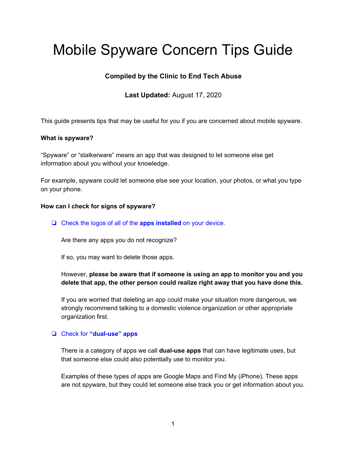# Mobile Spyware Concern Tips Guide

## **Compiled by the Clinic to End Tech Abuse**

**Last Updated:** August 17, 2020

This guide presents tips that may be useful for you if you are concerned about mobile spyware.

## **What is spyware?**

"Spyware" or "stalkerware" means an app that was designed to let someone else get information about you without your knowledge.

For example, spyware could let someone else see your location, your photos, or what you type on your phone.

## **How can I check for signs of spyware?**

❏ Check the logos of all of the **apps installed** on your device.

Are there any apps you do not recognize?

If so, you may want to delete those apps.

## However, **please be aware that if someone is using an app to monitor you and you delete that app, the other person could realize right away that you have done this.**

If you are worried that deleting an app could make your situation more dangerous, we strongly recommend talking to a domestic violence organization or other appropriate organization first.

## ❏ Check for **"dual-use" apps**

There is a category of apps we call **dual-use apps** that can have legitimate uses, but that someone else could also potentially use to monitor you.

Examples of these types of apps are Google Maps and Find My (iPhone). These apps are not spyware, but they could let someone else track you or get information about you.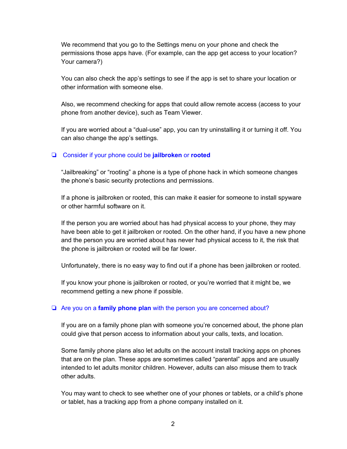We recommend that you go to the Settings menu on your phone and check the permissions those apps have. (For example, can the app get access to your location? Your camera?)

You can also check the app's settings to see if the app is set to share your location or other information with someone else.

Also, we recommend checking for apps that could allow remote access (access to your phone from another device), such as Team Viewer.

If you are worried about a "dual-use" app, you can try uninstalling it or turning it off. You can also change the app's settings.

## ❏ Consider if your phone could be **jailbroken** or **rooted**

"Jailbreaking" or "rooting" a phone is a type of phone hack in which someone changes the phone's basic security protections and permissions.

If a phone is jailbroken or rooted, this can make it easier for someone to install spyware or other harmful software on it.

If the person you are worried about has had physical access to your phone, they may have been able to get it jailbroken or rooted. On the other hand, if you have a new phone and the person you are worried about has never had physical access to it, the risk that the phone is jailbroken or rooted will be far lower.

Unfortunately, there is no easy way to find out if a phone has been jailbroken or rooted.

If you know your phone is jailbroken or rooted, or you're worried that it might be, we recommend getting a new phone if possible.

## ❏ Are you on a **family phone plan** with the person you are concerned about?

If you are on a family phone plan with someone you're concerned about, the phone plan could give that person access to information about your calls, texts, and location.

Some family phone plans also let adults on the account install tracking apps on phones that are on the plan. These apps are sometimes called "parental" apps and are usually intended to let adults monitor children. However, adults can also misuse them to track other adults.

You may want to check to see whether one of your phones or tablets, or a child's phone or tablet, has a tracking app from a phone company installed on it.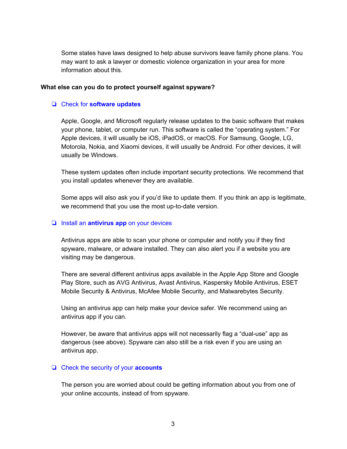Some states have laws designed to help abuse survivors leave family phone plans. You may want to ask a lawyer or domestic violence organization in your area for more information about this.

#### **What else can you do to protect yourself against spyware?**

#### ❏ Check for **software updates**

Apple, Google, and Microsoft regularly release updates to the basic software that makes your phone, tablet, or computer run. This software is called the "operating system." For Apple devices, it will usually be iOS, iPadOS, or macOS. For Samsung, Google, LG, Motorola, Nokia, and Xiaomi devices, it will usually be Android. For other devices, it will usually be Windows.

These system updates often include important security protections. We recommend that you install updates whenever they are available.

Some apps will also ask you if you'd like to update them. If you think an app is legitimate, we recommend that you use the most up-to-date version.

#### ❏ Install an **antivirus app** on your devices

Antivirus apps are able to scan your phone or computer and notify you if they find spyware, malware, or adware installed. They can also alert you if a website you are visiting may be dangerous.

There are several different antivirus apps available in the Apple App Store and Google Play Store, such as AVG Antivirus, Avast Antivirus, Kaspersky Mobile Antivirus, ESET Mobile Security & Antivirus, McAfee Mobile Security, and Malwarebytes Security.

Using an antivirus app can help make your device safer. We recommend using an antivirus app if you can.

However, be aware that antivirus apps will not necessarily flag a "dual-use" app as dangerous (see above). Spyware can also still be a risk even if you are using an antivirus app.

#### ❏ Check the security of your **accounts**

The person you are worried about could be getting information about you from one of your online accounts, instead of from spyware.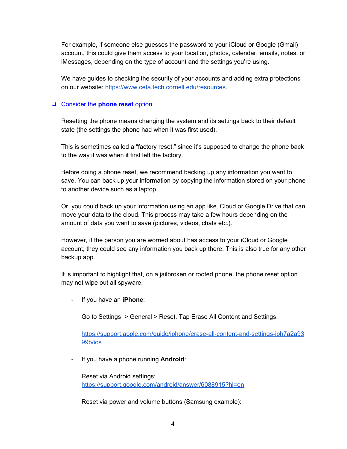For example, if someone else guesses the password to your iCloud or Google (Gmail) account, this could give them access to your location, photos, calendar, emails, notes, or iMessages, depending on the type of account and the settings you're using.

We have guides to checking the security of your accounts and adding extra protections on our website: https://www.ceta.tech.cornell.edu/resources.

#### ❏ Consider the **phone reset** option

Resetting the phone means changing the system and its settings back to their default state (the settings the phone had when it was first used).

This is sometimes called a "factory reset," since it's supposed to change the phone back to the way it was when it first left the factory.

Before doing a phone reset, we recommend backing up any information you want to save. You can back up your information by copying the information stored on your phone to another device such as a laptop.

Or, you could back up your information using an app like iCloud or Google Drive that can move your data to the cloud. This process may take a few hours depending on the amount of data you want to save (pictures, videos, chats etc.).

However, if the person you are worried about has access to your iCloud or Google account, they could see any information you back up there. This is also true for any other backup app.

It is important to highlight that, on a jailbroken or rooted phone, the phone reset option may not wipe out all spyware.

- If you have an **iPhone**:

Go to Settings > General > Reset. Tap Erase All Content and Settings.

https://support.apple.com/guide/iphone/erase-all-content-and-settings-iph7a2a93 99b/ios

- If you have a phone running **Android**:

Reset via Android settings: https://support.google.com/android/answer/6088915?hl=en

Reset via power and volume buttons (Samsung example):